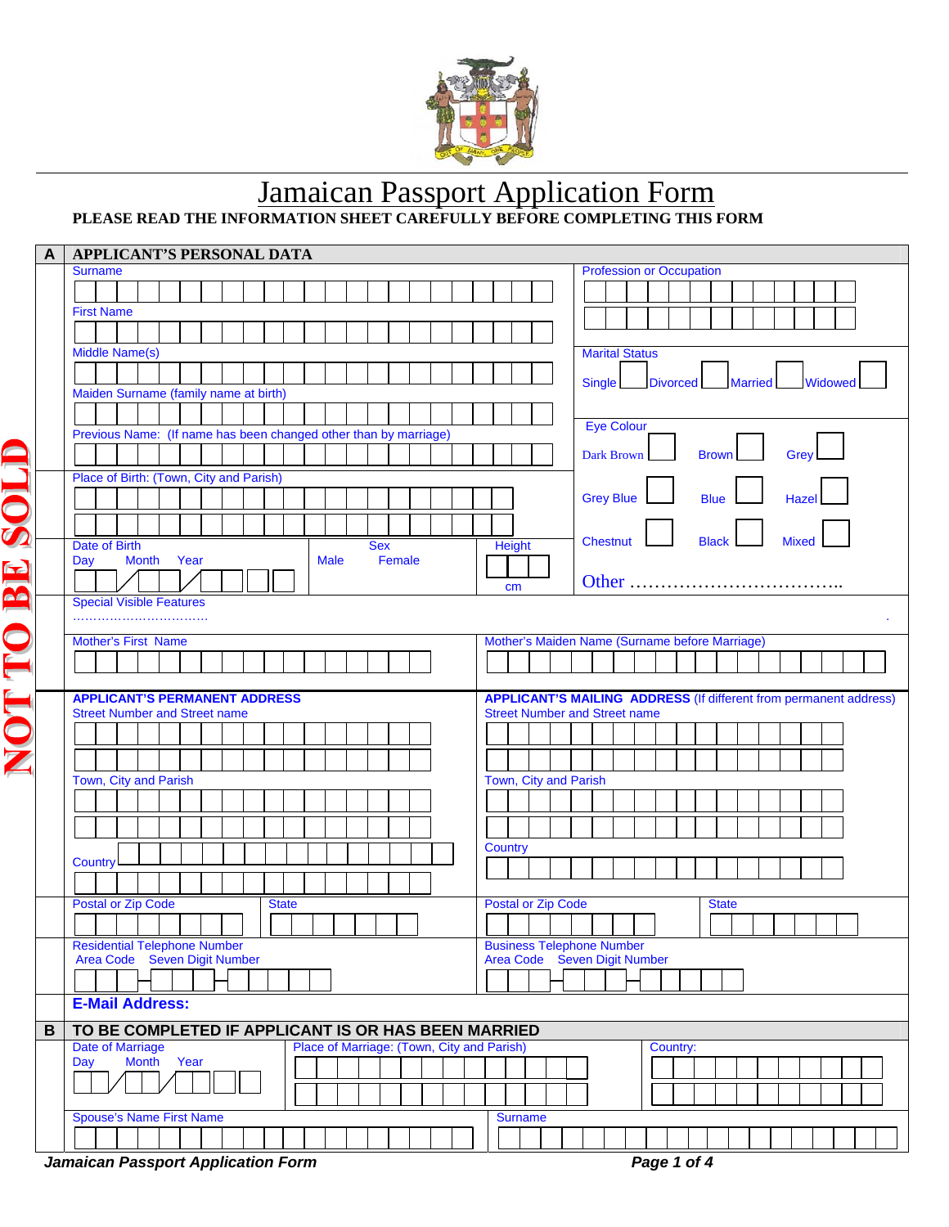

## **Jamaican Passport Application Form PLEASE READ THE INFORMATION SHEET CAREFULLY BEFORE COMPLETING THIS FORM**

|      | A | APPLICANT'S PERSONAL DATA                                             |                                                                  |                                                                          |  |  |
|------|---|-----------------------------------------------------------------------|------------------------------------------------------------------|--------------------------------------------------------------------------|--|--|
|      |   | <b>Surname</b>                                                        |                                                                  | <b>Profession or Occupation</b>                                          |  |  |
|      |   |                                                                       |                                                                  |                                                                          |  |  |
|      |   | <b>First Name</b>                                                     |                                                                  |                                                                          |  |  |
|      |   |                                                                       |                                                                  |                                                                          |  |  |
|      |   | <b>Middle Name(s)</b>                                                 |                                                                  | <b>Marital Status</b>                                                    |  |  |
|      |   |                                                                       |                                                                  |                                                                          |  |  |
|      |   | Maiden Surname (family name at birth)                                 |                                                                  | <b>Single</b><br><b>Divorced</b><br><b>Married</b><br>Widowed            |  |  |
|      |   |                                                                       |                                                                  |                                                                          |  |  |
|      |   | Previous Name: (If name has been changed other than by marriage)      |                                                                  | <b>Eye Colour</b>                                                        |  |  |
|      |   |                                                                       |                                                                  |                                                                          |  |  |
|      |   |                                                                       |                                                                  | <b>Dark Brown</b><br><b>Brown</b><br>Grey                                |  |  |
|      |   | Place of Birth: (Town, City and Parish)                               |                                                                  |                                                                          |  |  |
| SOLO |   |                                                                       |                                                                  | <b>Grey Blue</b><br><b>Blue</b><br>Hazel                                 |  |  |
|      |   |                                                                       |                                                                  |                                                                          |  |  |
|      |   | Date of Birth<br><b>Sex</b>                                           | <b>Height</b>                                                    | <b>Chestnut</b><br><b>Black</b><br><b>Mixed</b>                          |  |  |
|      |   | <b>Month</b><br>Year<br><b>Male</b><br>Female<br>Day                  |                                                                  |                                                                          |  |  |
|      |   |                                                                       | cm                                                               | Other                                                                    |  |  |
| BE   |   | <b>Special Visible Features</b>                                       |                                                                  |                                                                          |  |  |
|      |   |                                                                       |                                                                  |                                                                          |  |  |
|      |   | <b>Mother's First Name</b>                                            |                                                                  | Mother's Maiden Name (Surname before Marriage)                           |  |  |
| É    |   |                                                                       |                                                                  |                                                                          |  |  |
|      |   |                                                                       |                                                                  |                                                                          |  |  |
| E    |   | <b>APPLICANT'S PERMANENT ADDRESS</b>                                  |                                                                  | <b>APPLICANT'S MAILING ADDRESS (If different from permanent address)</b> |  |  |
|      |   | <b>Street Number and Street name</b>                                  |                                                                  | <b>Street Number and Street name</b>                                     |  |  |
|      |   |                                                                       |                                                                  |                                                                          |  |  |
|      |   |                                                                       |                                                                  |                                                                          |  |  |
|      |   | Town, City and Parish                                                 | Town, City and Parish                                            |                                                                          |  |  |
|      |   |                                                                       |                                                                  |                                                                          |  |  |
|      |   |                                                                       |                                                                  |                                                                          |  |  |
|      |   |                                                                       |                                                                  |                                                                          |  |  |
|      |   | <b>Country</b>                                                        | <b>Country</b>                                                   |                                                                          |  |  |
|      |   |                                                                       |                                                                  |                                                                          |  |  |
|      |   |                                                                       |                                                                  |                                                                          |  |  |
|      |   | <b>Postal or Zip Code</b><br><b>State</b>                             | <b>Postal or Zip Code</b>                                        | <b>State</b>                                                             |  |  |
|      |   |                                                                       |                                                                  |                                                                          |  |  |
|      |   | <b>Residential Telephone Number</b><br>Area Code Seven Digit Number   | <b>Business Telephone Number</b><br>Area Code Seven Digit Number |                                                                          |  |  |
|      |   |                                                                       |                                                                  |                                                                          |  |  |
|      |   |                                                                       |                                                                  |                                                                          |  |  |
|      |   | <b>E-Mail Address:</b>                                                |                                                                  |                                                                          |  |  |
|      | B | TO BE COMPLETED IF APPLICANT IS OR HAS BEEN MARRIED                   |                                                                  |                                                                          |  |  |
|      |   | Place of Marriage: (Town, City and Parish)<br><b>Date of Marriage</b> |                                                                  | Country:                                                                 |  |  |
|      |   | Month Year<br>Day                                                     |                                                                  |                                                                          |  |  |
|      |   |                                                                       |                                                                  |                                                                          |  |  |
|      |   |                                                                       |                                                                  |                                                                          |  |  |
|      |   | <b>Spouse's Name First Name</b>                                       | <b>Surname</b>                                                   |                                                                          |  |  |
|      |   |                                                                       |                                                                  |                                                                          |  |  |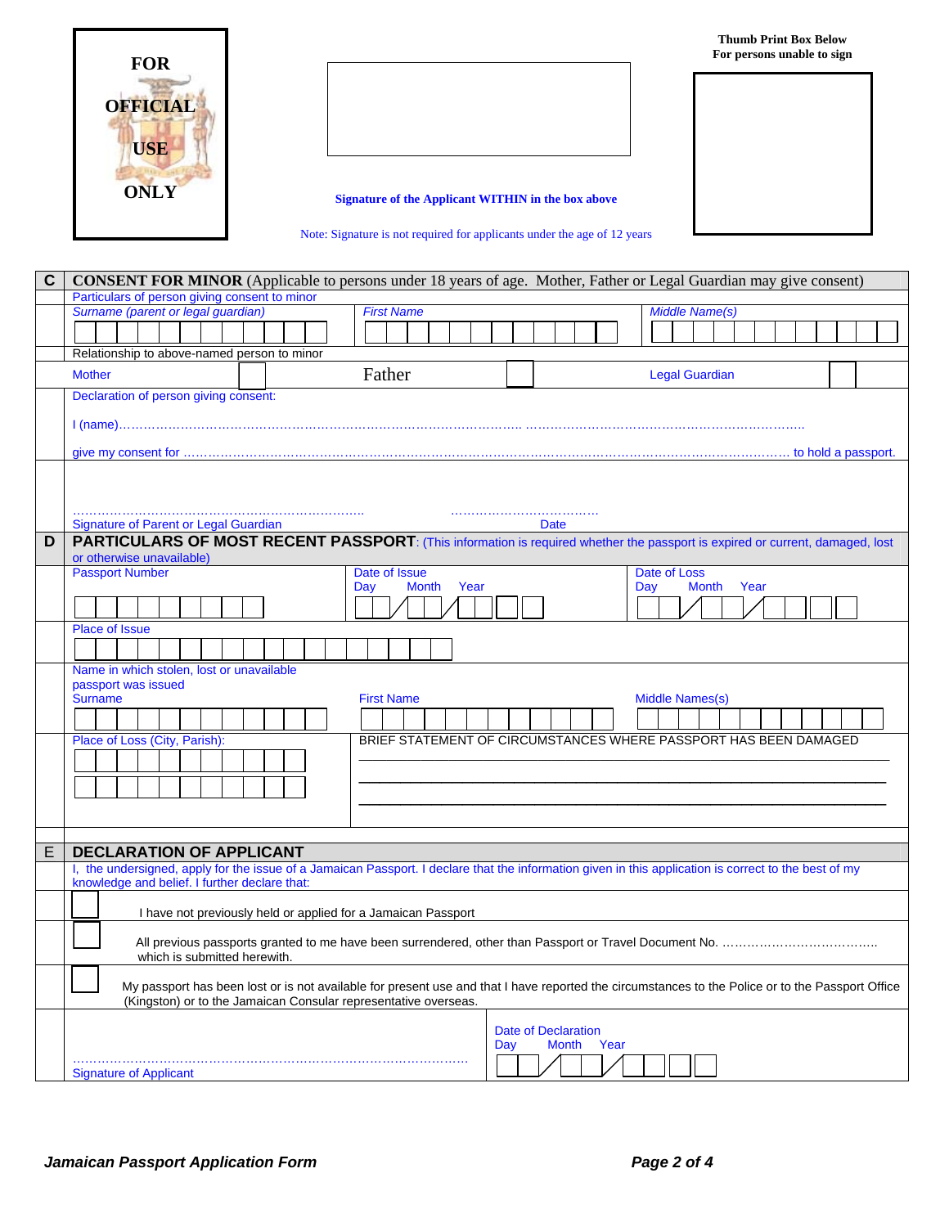

**Signature of the Applicant WITHIN in the box above**

Note: Signature is not required for applicants under the age of 12 years

| C | <b>CONSENT FOR MINOR</b> (Applicable to persons under 18 years of age. Mother, Father or Legal Guardian may give consent)                                                                                           |  |  |  |  |  |  |  |  |  |  |
|---|---------------------------------------------------------------------------------------------------------------------------------------------------------------------------------------------------------------------|--|--|--|--|--|--|--|--|--|--|
|   | Particulars of person giving consent to minor                                                                                                                                                                       |  |  |  |  |  |  |  |  |  |  |
|   | Surname (parent or legal guardian)<br><b>First Name</b><br><b>Middle Name(s)</b>                                                                                                                                    |  |  |  |  |  |  |  |  |  |  |
|   |                                                                                                                                                                                                                     |  |  |  |  |  |  |  |  |  |  |
|   | Relationship to above-named person to minor                                                                                                                                                                         |  |  |  |  |  |  |  |  |  |  |
|   | Father<br><b>Legal Guardian</b><br><b>Mother</b>                                                                                                                                                                    |  |  |  |  |  |  |  |  |  |  |
|   | Declaration of person giving consent:                                                                                                                                                                               |  |  |  |  |  |  |  |  |  |  |
|   |                                                                                                                                                                                                                     |  |  |  |  |  |  |  |  |  |  |
|   |                                                                                                                                                                                                                     |  |  |  |  |  |  |  |  |  |  |
|   |                                                                                                                                                                                                                     |  |  |  |  |  |  |  |  |  |  |
|   |                                                                                                                                                                                                                     |  |  |  |  |  |  |  |  |  |  |
|   |                                                                                                                                                                                                                     |  |  |  |  |  |  |  |  |  |  |
|   | Signature of Parent or Legal Guardian<br><b>Date</b>                                                                                                                                                                |  |  |  |  |  |  |  |  |  |  |
| D | PARTICULARS OF MOST RECENT PASSPORT: (This information is required whether the passport is expired or current, damaged, lost                                                                                        |  |  |  |  |  |  |  |  |  |  |
|   | or otherwise unavailable)<br><b>Passport Number</b><br>Date of Issue<br>Date of Loss                                                                                                                                |  |  |  |  |  |  |  |  |  |  |
|   | Year<br>Year<br><b>Month</b><br>Day<br>Month<br>Day                                                                                                                                                                 |  |  |  |  |  |  |  |  |  |  |
|   |                                                                                                                                                                                                                     |  |  |  |  |  |  |  |  |  |  |
|   | <b>Place of Issue</b>                                                                                                                                                                                               |  |  |  |  |  |  |  |  |  |  |
|   |                                                                                                                                                                                                                     |  |  |  |  |  |  |  |  |  |  |
|   | Name in which stolen, lost or unavailable                                                                                                                                                                           |  |  |  |  |  |  |  |  |  |  |
|   | passport was issued                                                                                                                                                                                                 |  |  |  |  |  |  |  |  |  |  |
|   | <b>First Name</b><br><b>Middle Names(s)</b><br><b>Surname</b>                                                                                                                                                       |  |  |  |  |  |  |  |  |  |  |
|   |                                                                                                                                                                                                                     |  |  |  |  |  |  |  |  |  |  |
|   | BRIEF STATEMENT OF CIRCUMSTANCES WHERE PASSPORT HAS BEEN DAMAGED<br>Place of Loss (City, Parish):                                                                                                                   |  |  |  |  |  |  |  |  |  |  |
|   |                                                                                                                                                                                                                     |  |  |  |  |  |  |  |  |  |  |
|   |                                                                                                                                                                                                                     |  |  |  |  |  |  |  |  |  |  |
|   |                                                                                                                                                                                                                     |  |  |  |  |  |  |  |  |  |  |
|   |                                                                                                                                                                                                                     |  |  |  |  |  |  |  |  |  |  |
| E | <b>DECLARATION OF APPLICANT</b>                                                                                                                                                                                     |  |  |  |  |  |  |  |  |  |  |
|   | I, the undersigned, apply for the issue of a Jamaican Passport. I declare that the information given in this application is correct to the best of my<br>knowledge and belief. I further declare that:              |  |  |  |  |  |  |  |  |  |  |
|   |                                                                                                                                                                                                                     |  |  |  |  |  |  |  |  |  |  |
|   | I have not previously held or applied for a Jamaican Passport                                                                                                                                                       |  |  |  |  |  |  |  |  |  |  |
|   |                                                                                                                                                                                                                     |  |  |  |  |  |  |  |  |  |  |
|   | which is submitted herewith.                                                                                                                                                                                        |  |  |  |  |  |  |  |  |  |  |
|   | My passport has been lost or is not available for present use and that I have reported the circumstances to the Police or to the Passport Office<br>(Kingston) or to the Jamaican Consular representative overseas. |  |  |  |  |  |  |  |  |  |  |
|   |                                                                                                                                                                                                                     |  |  |  |  |  |  |  |  |  |  |
|   | <b>Date of Declaration</b><br>Year<br><b>Month</b><br>Day                                                                                                                                                           |  |  |  |  |  |  |  |  |  |  |
|   | <b>Signature of Applicant</b>                                                                                                                                                                                       |  |  |  |  |  |  |  |  |  |  |
|   |                                                                                                                                                                                                                     |  |  |  |  |  |  |  |  |  |  |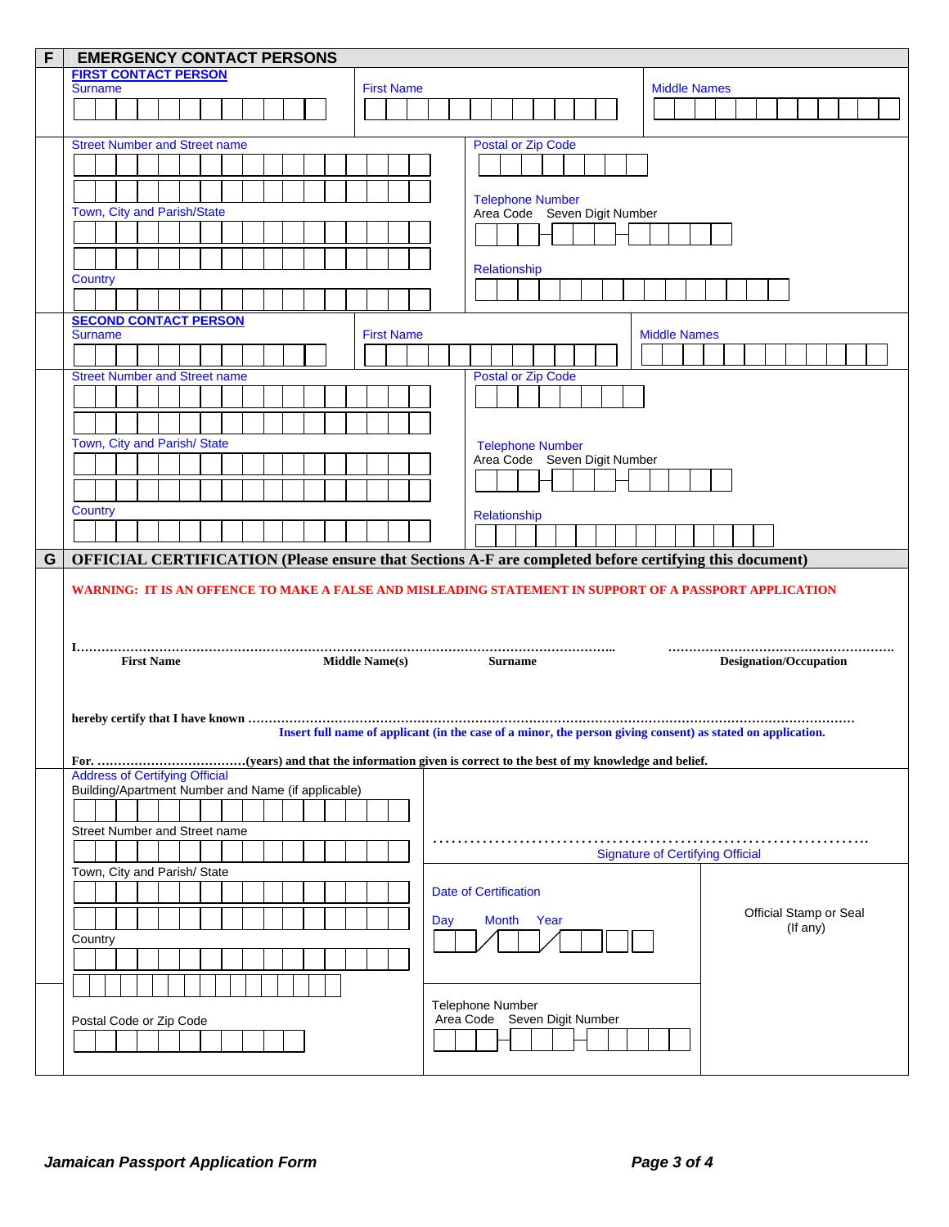|   | <b>EMERGENCY CONTACT PERSONS</b><br>F                                                                  |                                                                                                             |  |  |  |  |
|---|--------------------------------------------------------------------------------------------------------|-------------------------------------------------------------------------------------------------------------|--|--|--|--|
|   | <b>FIRST CONTACT PERSON</b>                                                                            |                                                                                                             |  |  |  |  |
|   | <b>Surname</b><br><b>First Name</b>                                                                    | <b>Middle Names</b>                                                                                         |  |  |  |  |
|   |                                                                                                        |                                                                                                             |  |  |  |  |
|   |                                                                                                        |                                                                                                             |  |  |  |  |
|   | <b>Street Number and Street name</b>                                                                   | <b>Postal or Zip Code</b>                                                                                   |  |  |  |  |
|   |                                                                                                        |                                                                                                             |  |  |  |  |
|   |                                                                                                        |                                                                                                             |  |  |  |  |
|   |                                                                                                        | <b>Telephone Number</b>                                                                                     |  |  |  |  |
|   | Town, City and Parish/State                                                                            | Area Code Seven Digit Number                                                                                |  |  |  |  |
|   |                                                                                                        |                                                                                                             |  |  |  |  |
|   |                                                                                                        |                                                                                                             |  |  |  |  |
|   | Country                                                                                                | Relationship                                                                                                |  |  |  |  |
|   |                                                                                                        |                                                                                                             |  |  |  |  |
|   | <b>SECOND CONTACT PERSON</b>                                                                           |                                                                                                             |  |  |  |  |
|   | <b>First Name</b><br><b>Surname</b>                                                                    | <b>Middle Names</b>                                                                                         |  |  |  |  |
|   |                                                                                                        |                                                                                                             |  |  |  |  |
|   | <b>Street Number and Street name</b>                                                                   | <b>Postal or Zip Code</b>                                                                                   |  |  |  |  |
|   |                                                                                                        |                                                                                                             |  |  |  |  |
|   |                                                                                                        |                                                                                                             |  |  |  |  |
|   | Town, City and Parish/ State                                                                           | <b>Telephone Number</b>                                                                                     |  |  |  |  |
|   |                                                                                                        | Area Code Seven Digit Number                                                                                |  |  |  |  |
|   |                                                                                                        |                                                                                                             |  |  |  |  |
|   |                                                                                                        |                                                                                                             |  |  |  |  |
|   | Country                                                                                                | Relationship                                                                                                |  |  |  |  |
|   |                                                                                                        |                                                                                                             |  |  |  |  |
| G | OFFICIAL CERTIFICATION (Please ensure that Sections A-F are completed before certifying this document) |                                                                                                             |  |  |  |  |
|   |                                                                                                        |                                                                                                             |  |  |  |  |
|   |                                                                                                        | WARNING: IT IS AN OFFENCE TO MAKE A FALSE AND MISLEADING STATEMENT IN SUPPORT OF A PASSPORT APPLICATION     |  |  |  |  |
|   |                                                                                                        |                                                                                                             |  |  |  |  |
|   |                                                                                                        |                                                                                                             |  |  |  |  |
|   | <b>First Name</b><br><b>Middle Name(s)</b>                                                             | <b>Surname</b><br><b>Designation/Occupation</b>                                                             |  |  |  |  |
|   |                                                                                                        |                                                                                                             |  |  |  |  |
|   |                                                                                                        |                                                                                                             |  |  |  |  |
|   |                                                                                                        |                                                                                                             |  |  |  |  |
|   |                                                                                                        |                                                                                                             |  |  |  |  |
|   |                                                                                                        | Insert full name of applicant (in the case of a minor, the person giving consent) as stated on application. |  |  |  |  |
|   |                                                                                                        |                                                                                                             |  |  |  |  |
|   | <b>Address of Certifying Official</b>                                                                  |                                                                                                             |  |  |  |  |
|   | Building/Apartment Number and Name (if applicable)                                                     |                                                                                                             |  |  |  |  |
|   |                                                                                                        |                                                                                                             |  |  |  |  |
|   | Street Number and Street name                                                                          |                                                                                                             |  |  |  |  |
|   |                                                                                                        | <b>Signature of Certifying Official</b>                                                                     |  |  |  |  |
|   | Town, City and Parish/ State                                                                           |                                                                                                             |  |  |  |  |
|   |                                                                                                        | <b>Date of Certification</b>                                                                                |  |  |  |  |
|   |                                                                                                        | Official Stamp or Seal<br>Month Year<br>Day                                                                 |  |  |  |  |
|   | Country                                                                                                | (If any)                                                                                                    |  |  |  |  |
|   |                                                                                                        |                                                                                                             |  |  |  |  |
|   |                                                                                                        |                                                                                                             |  |  |  |  |
|   |                                                                                                        |                                                                                                             |  |  |  |  |
|   | Postal Code or Zip Code                                                                                | Telephone Number<br>Area Code Seven Digit Number                                                            |  |  |  |  |
|   |                                                                                                        |                                                                                                             |  |  |  |  |